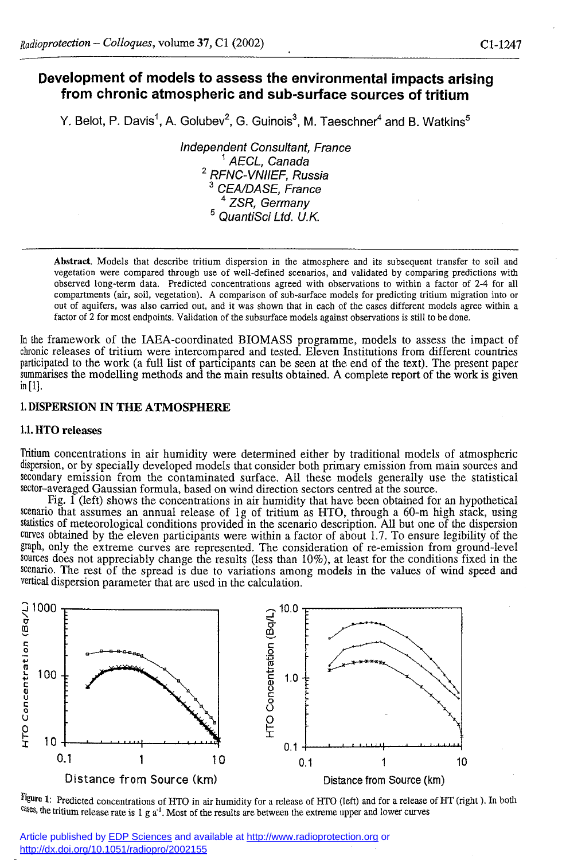# **Development of models to assess the environmental impacts arising from chronic atmospheric and sub-surface sources of tritium**

Y. Belot, P. Davisˈ, A. Golubev<sup>∠</sup>, G. Guinois<sup>›</sup>, M. Taeschner<sup>4</sup> and B. Watkins<sup>›</sup>

*Independent Consultant, France 1 AECL, Canada 2 RFNC-VNIIEF, Russia 3 CEA/DASE, France 4 ZSR, Germany 5 QuantiSci Ltd. U.K.* 

**Abstract. Models that describe tritium dispersion in the atmosphere and its subsequent transfer to soil and vegetation were compared through use of well-defined scenarios, and validated by comparing predictions with observed long-term data. Predicted concentrations agreed with observations to within a factor of 2-4 for all compartments (air, soil, vegetation). A comparison of sub-surface models for predicting tritium migration into or out of aquifers, was also carried out, and it was shown that in each of the cases different models agree within a factor of 2 for most endpoints. Validation of the subsurface models against observations is still to be done.** 

In the framework of the IAEA-coordinated BIOMASS programme, models to assess the impact of chronic releases of tritium were intercompared and tested. Eleven Institutions from different countries participated to the work (a full list of participants can be seen at the end of the text). The present paper summarises the modelling methods and the main results obtained. A complete report of the work is given in [1].

# **1. DISPERSION IN THE ATMOSPHERE**

## **1.1. HTO** releases

Tritium concentrations in air humidity were determined either by traditional models of atmospheric dispersion, or by specially developed models that consider both primary emission from main sources and secondary emission from the contaminated surface. All these models generally use the statistical sector-averaged Gaussian formula, based on wind direction sectors centred at the source.

Fig.  $\tilde{I}$  (left) shows the concentrations in air humidity that have been obtained for an hypothetical scenario that assumes an annual release of lg of tritium as HTO, through a 60-m high stack, using statistics of meteorological conditions provided in the scenario description. All but one of the dispersion curves obtained by the eleven participants were within a factor of about 1.7. To ensure legibility of the graph, only the extreme curves are represented. The consideration of re-emission from ground-level sources does not appreciably change the results (less than 10%), at least for the conditions fixed in the scenario. The rest of the spread is due to variations among models in the values of wind speed and vertical dispersion parameter that are used in the calculation.



**Figure 1:** Predicted concentrations of HTO in air humidity for a release of HTO (left) and for a release of HT (right). In both <sup>cases</sup>, the tritium release rate is 1 g a<sup>-1</sup>. Most of the results are between the extreme upper and lower curves

Article published by [EDP Sciences](http://www.edpsciences.org/) and available at<http://www.radioprotection.org>or <http://dx.doi.org/10.1051/radiopro/2002155>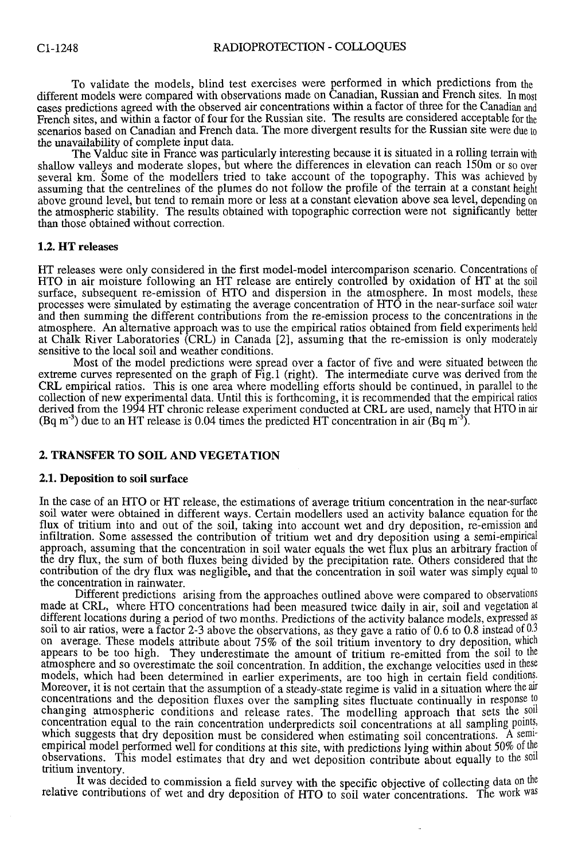To validate the models, blind test exercises were performed in which predictions from **the**  different models were compared with observations made on Canadian, Russian and French sites.**<sup>I</sup> <sup>n</sup>** most cases predictions agreed with the observed air concentrations within a factor of three for the Canadian **and**  French sites, and within a factor of four for the Russian site. The results are considered acceptable for the scenarios based on Canadian and French data. The more divergent results for the Russian site were due to the unavailability of complete input data.

The Valduc site in France was particularly interesting because it is situated in a rolling terrain **with**  shallow valleys and moderate slopes, but where the differences in elevation can reach 150m or so over several km. Some of the modellers tried to take account of the topography. This was achieved **by**  assuming that the centrelines of the plumes do not follow the profile of the terrain at a constant height above ground level, but tend to remain more or less at a constant elevation above sea level, depending **on**  the atmospheric stability. The results obtained with topographic correction were not significantly **better**  than those obtained without correction.

## **1.2. HT releases**

HT releases were only considered in the first model-model intercomparison scenario. Concentrations **of**  HTO in air moisture following an HT release are entirely controlled by oxidation of HT at **th e soil**  surface, subsequent re-emission of HTO and dispersion in the atmosphere. In most models, **thes <sup>e</sup>** processes were simulated by estimating the average concentration of HTO in the near-surface soil **wate <sup>r</sup>** and then summing the different contributions from the re-emission process to the concentrations **in the**  atmosphere. An alternative approach was to use the empirical ratios obtained from field experiments **held**  at Chalk River Laboratories (CRL) in Canada [2], assuming that the re-emission is only moderately sensitive to the local soil and weather conditions.

Most of the model predictions were spread over a factor of five and were situated between **the**  extreme curves represented on the graph of Fig.l (right). The intermediate curve was derived from **the**  CRL empirical ratios. This is one area where modelling efforts should be continued, in parallel**<sup>t</sup> o the**  collection of new experimental data. Until this is forthcoming, it is recommended that the empirical ratios derived from the 1994 HT chronic release experiment conducted at CRL are used, namely that HTO **in air**  (Bq m<sup>-3</sup>) due to an HT release is 0.04 times the predicted HT concentration in air (Bq m<sup>-3</sup>).

# **2. TRANSFER TO SOIL AND VEGETATION**

# **2.1. Deposition to soil surface**

In the case of an HTO or HT release, the estimations of average tritium concentration in the near-surface soil water were obtained in different ways. Certain modellers used an activity balance equation for **the**  flux of tritium into and out of the soil, taking into account wet and dry deposition, re-emission and infiltration. Some assessed the contribution of tritium wet and dry deposition using a semi-empirical approach, assuming that the concentration in soil water equals the wet flux plus an arbitrary fraction **of**  the dry flux, the sum of both fluxes being divided by the precipitation rate. Others considered that **the**  contribution of the dry flux was negligible, and that the concentration in soil water was simply equal **to**  the concentration in rainwater.

Different predictions arising from the approaches outlined above were compared to observations made at CRL, where HTO concentrations had been measured twice daily in air, soil and vegetation at different locations during a period of two months. Predictions of the activity balance models, expressed as soil to air ratios, were a factor 2-3 above the observations, as they gave a ratio of 0.6 to 0.8 instead of 0.3 on average. These models attribute about 75% of the soil tritium inventory to dry deposition, which appears to be too high. They underestimate the amount of tritium re-emitted from the soil**<sup>t</sup> <sup>o</sup>** the atmosphere and so overestimate the soil concentration. In addition, the exchange velocities used in these models, which had been determined in earlier experiments, are too high in certain field conditions. Moreover, it is not certain that the assumption of a steady-state regime is valid in a situation where the air concentrations and the deposition fluxes over the sampling sites fluctuate continually in response **to**  changing atmospheric conditions and release rates. The modelling approach that sets the soil concentration equal to the rain concentration underpredicts soil concentrations at all sampling points, which suggests that dry deposition must be considered when estimating soil concentrations. A semiempirical model performed well for conditions at this site, with predictions lying within about 50%**<sup>o</sup> <sup>f</sup>** the observations. This model estimates that dry and wet deposition contribute about equally to the soil tritium inventory.

It was decided to commission a field survey with the specific objective of collecting data**<sup>o</sup> <sup>n</sup>** the relative contributions of wet and dry deposition of HTO to soil water concentrations. The work was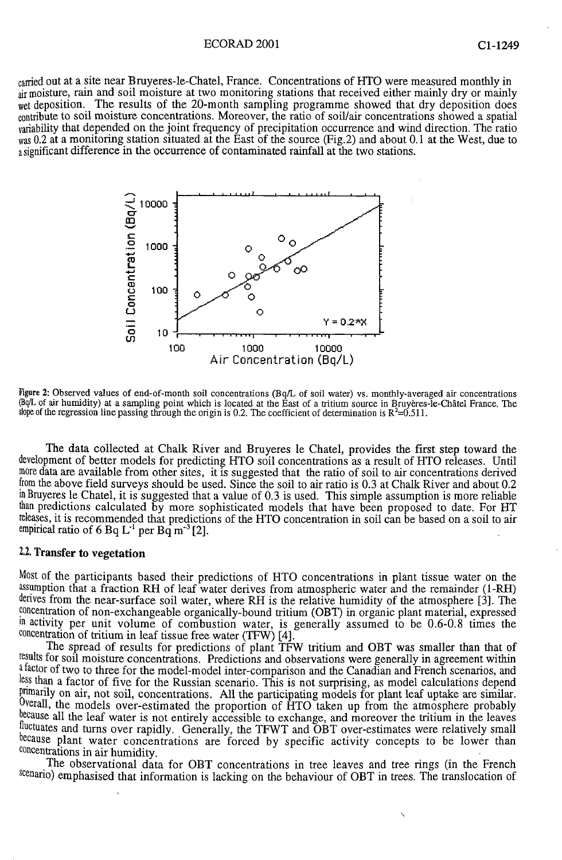#### ECORAD 2001 C1-1249

carried out at a site near Bruyeres-le-Chatel, France. Concentrations of FfTO were measured monthly in air moisture, rain and soil moisture at two monitoring stations that received either mainly dry or mainly wet deposition. The results of the 20-month sampling programme showed that dry deposition does contribute to soil moisture concentrations. Moreover, the ratio of soil/air concentrations showed a spatial variability that depended on the joint frequency of precipitation occurrence and wind direction. The ratio was 0.2 at a monitoring station situated at the East of the source (Fig.2) and about 0.1 at the West, due to a significant difference in the occurrence of contaminated rainfall at the two stations.



**Figure 2: Observed values of end-of-month soil concenfrations (Bq/L of soil water) vs. monthly-averaged air concentrations (Bq/L of air humidity) at a sampling point which is located at the East of a tritium source in Bruyères-le-Châtel France. The**  slope of the regression line passing through the origin is 0.2. The coefficient of determination is  $R^2$ =0.511.

The data collected at Chalk River and Bruyeres le Chatel, provides the first step toward the development of better models for predicting FfTO soil concentrations as a result of HTO releases. Until more data are available from other sites, it is suggested that the ratio of soil to air concentrations derived from the above field surveys should be used. Since the soil to air ratio is 0.3 at Chalk River and about 0.2 in Bruyeres le Chatel, it is suggested that a value of 0.3 is used. This simple assumption is more reliable than predictions calculated by more sophisticated models that have been proposed to date. For HT releases, it is recommended that predictions of the HTO concentration in soil can be based on a soil to air empirical ratio of 6 Bq  $L<sup>-1</sup>$  per Bq m<sup>-3</sup> [2].

# 2.2. Transfer to vegetation

Most of the participants based their predictions of HTO concentrations in plant tissue water on the assumption that a fraction RH of leaf water derives from atmospheric water and the remainder (1-RH) derives from the near-surface soil water, where RH is the relative humidity of the atmosphere [3]. The concentration of non-exchangeable organically-bound tritium (OBT) in organic plant material, expressed in activity per unit volume of combustion water, is generally assumed to be 0.6-0.8 times the concentration of tritium in leaf tissue free water (TFW) [4].

The spread of results for predictions of plant TFW tritium and OBT was smaller than that of results for soil moisture concentrations. Predictions and observations were generally in agreement within <sup>a factor</sup> of two to three for the model-model inter-comparison and the Canadian and French scenarios, and less than a factor of five for the Russian scenario. This is not surprising, as model calculations depend primarily on air, not soil, concentrations. All the participating models for plant leaf uptake are similar. Overall, the models over-estimated the proportion of HTO taken up from the atmosphere probably because all the leaf water is not entirely accessible to exchange, and moreover the tritium in the leaves fluctuates and turns over rapidly. Generally, the TFWT and OBT over-estimates were relatively small because plant water concentrations are forced by specific activity concepts to be lower than concentrations in air humidity.

The observational data for OBT concentrations in tree leaves and tree rings (in the French scenario) emphasised that information is lacking on the behaviour of OBT in trees. The translocation of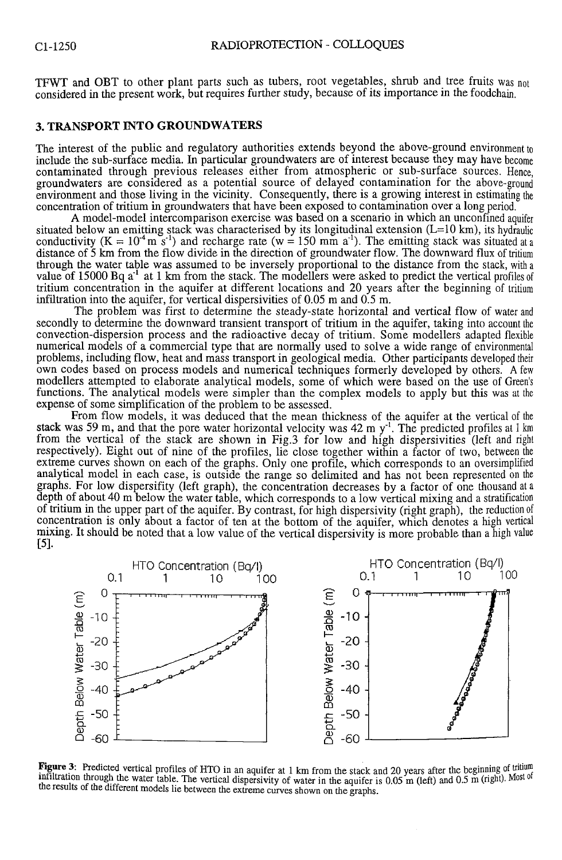TFWT and OBT to other plant parts such as tubers, root vegetables, shrub and tree fruits was not considered in the present work, but requires further study, because of its importance in the foodchain.

#### **3. TRANSPORT INTO GROUNDWATERS**

The interest of the public and regulatory authorities extends beyond the above-ground environment to include the sub-surface media. In particular groundwaters are of interest because they may have become contaminated through previous releases either from atmospheric or sub-surface sources. Hence, groundwaters are considered as a potential source of delayed contamination for the above-ground environment and those living in the vicinity. Consequently, there is a growing interest in estimating the concentration of tritium in groundwaters that have been exposed to contamination over a long period.

A model-model intercomparison exercise was based on a scenario in which an unconfined aquifer situated below an emitting stack was characterised by its longitudinal extension (L=10 km), its hydraulic conductivity  $(K = 10<sup>-4</sup> m s<sup>-1</sup>)$  and recharge rate (w = 150 mm a<sup>-1</sup>). The emitting stack was situated at a distance of 5 km from the flow divide in the direction of groundwater flow. The downward flux of tritium through the water table was assumed to be inversely proportional to the distance from the stack, with**<sup>a</sup>** value of  $15000$  Bq a<sup>-1</sup> at 1 km from the stack. The modellers were asked to predict the vertical profiles of tritium concentration in the aquifer at different locations and 20 years after the beginning of tritium infiltration into the aquifer, for vertical dispersivities of 0.05 m and 0.5 m.

The problem was first to determine the steady-state horizontal and vertical flow of water and secondly to determine the downward transient transport of tritium in the aquifer, taking into account the convection-dispersion process and the radioactive decay of tritium. Some modellers adapted flexible numerical models of a commercial type that are normally used to solve a wide range of environmental problems, including flow, heat and mass transport in geological media. Other participants developed their own codes based on process models and numerical techniques formerly developed by others. **A** few modellers attempted to elaborate analytical models, some of which were based on the use of Green's functions. The analytical models were simpler than the complex models to apply but this was at the expense of some simplification of the problem to be assessed.

From flow models, it was deduced that the mean thickness of the aquifer at the vertical of the stack was 59 m, and that the pore water horizontal velocity was 42 m  $y<sup>-1</sup>$ . The predicted profiles at 1 km from the vertical of the stack are shown in Fig.3 for low and high dispersivities (left and right respectively). Eight out of nine of the profiles, lie close together within a factor of two, between the extreme curves shown on each of the graphs. Only one profile, which corresponds to an oversimplified analytical model in each case, is outside the range so delimited and has not been represented on the graphs. For low dispersifity (left graph), the concentration decreases by a factor of one thousand at**<sup>a</sup>** depth of about 40 m below the water table, which corresponds to a low vertical mixing and a stratification of tritium in the upper part of the aquifer. By contrast, for high dispersivity (right graph), the reduction of concentration is only about a factor of ten at the bottom of the aquifer, which denotes a high vertical mixing. It should be noted that a low value of the vertical dispersivity is more probable than a high value [5].



**Figure 3:** Predicted vertical profiles of HTO in an aquifer at 1 km from the stack and 20 years after the beginning of tritium infiltration through the water table. The vertical dispersivity of water in the aquifer is 0.05 m (left) and 0.5 m (right). Most of **the results of the different models lie between the extreme curves shown on the graphs.**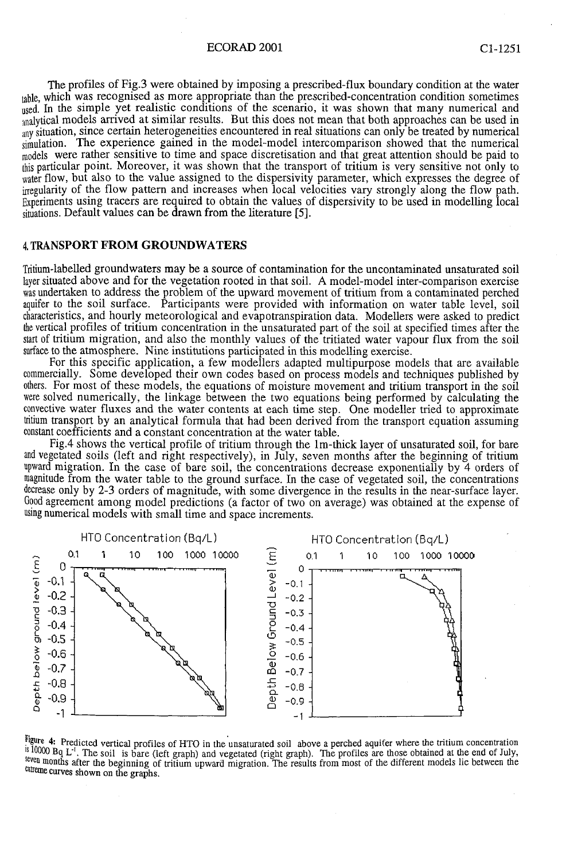## ECORAD 2001 Cl-1251

The profiles of Fig.3 were obtained by imposing a prescribed-flux boundary condition at the water table, which was recognised as more appropriate than the prescribed-concentration condition sometimes used. In the simple yet realistic conditions of the scenario, it was shown that many numerical and analytical models arrived at similar results. But this does not mean that both approaches can be used in any situation, since certain heterogeneities encountered in real situations can only be treated by numerical simulation. The experience gained in the model-model intercomparison showed that the numerical models were rather sensitive to time and space discretisation and that great attention should be paid to this particular point. Moreover, it was shown that the transport of tritium is very sensitive not only to water flow, but also to the value assigned to the dispersivity parameter, which expresses the degree of irregularity of the flow pattern and increases when local velocities vary strongly along the flow path. Experiments using tracers are required to obtain the values of dispersivity to be used in modelling local situations. Default values can be drawn from the literature [5].

# **<sup>4</sup> .** TRANSPORT FROM GROUNDWATERS

Tritium-labelled groundwaters may be a source of contamination for the uncontaminated unsaturated soil layer situated above and for the vegetation rooted in that soil. A model-model inter-comparison exercise was undertaken to address the problem of the upward movement of tritium from a contaminated perched aquifer to the soil surface. Participants were provided with information on water table level, soil characteristics, and hourly meteorological and évapotranspiration data. Modellers were asked to predict the vertical profiles of tritium concentration in the unsaturated part of the soil at specified times after the start of tritium migration, and also the monthly values of the tritiated water vapour flux from the soil surface to the atmosphere. Nine institutions participated in this modelling exercise.

For this specific application, a few modellers adapted multipurpose models that are available commercially. Some developed their own codes based on process models and techniques published by others. For most of these models, the equations of moisture movement and tritium transport in the soil were solved numerically, the linkage between the two equations being performed by calculating the convective water fluxes and the water contents at each time step. One modeller tried to approximate tritium transport by an analytical formula that had been derived from the transport equation assuming constant coefficients and a constant concentration at the water table.

Fig.4 shows the vertical profile of tritium through the lm-thick layer of unsaturated soil, for bare and vegetated soils (left and right respectively), in July, seven months after the beginning of tritium upward migration. In the case of bare soil, the concentrations decrease exponentially by 4 orders of magnitude from the water table to the ground surface. In the case of vegetated soil, the concentrations decrease only by 2-3 orders of magnitude, with some divergence in the results in the near-surface layer. Good agreement among model predictions (a factor of two on average) was obtained at the expense of using numerical models with small time and space increments.



 $\frac{1}{2}$  is example the vertical profiles of HTO in the unsaturated soil above a perched aquiter where the tritium concentration  $\frac{10000}{\mu}$  L. The soil is bare (left graph) and vegetated (right graph). The profiles are those obtained at the end of July, seven months after the beginning of tritium upward migration. The results from most of the different models lie between the extreme curves shown on the graphs.